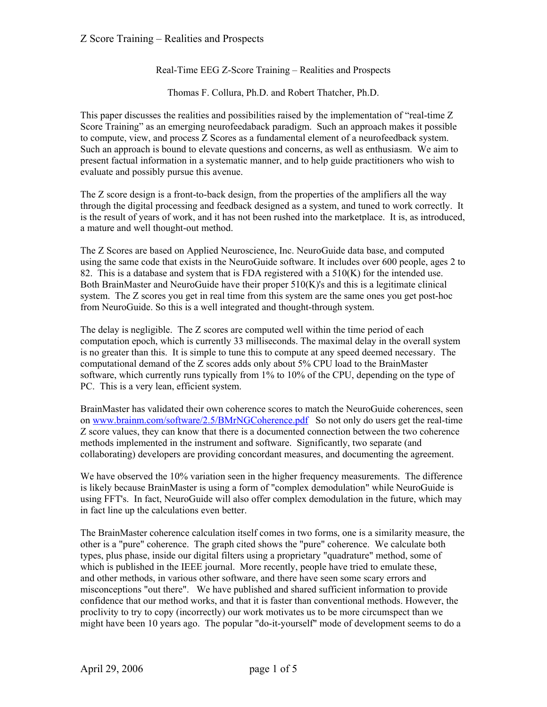#### Real-Time EEG Z-Score Training – Realities and Prospects

Thomas F. Collura, Ph.D. and Robert Thatcher, Ph.D.

This paper discusses the realities and possibilities raised by the implementation of "real-time Z Score Training" as an emerging neurofeedaback paradigm. Such an approach makes it possible to compute, view, and process Z Scores as a fundamental element of a neurofeedback system. Such an approach is bound to elevate questions and concerns, as well as enthusiasm. We aim to present factual information in a systematic manner, and to help guide practitioners who wish to evaluate and possibly pursue this avenue.

The Z score design is a front-to-back design, from the properties of the amplifiers all the way through the digital processing and feedback designed as a system, and tuned to work correctly. It is the result of years of work, and it has not been rushed into the marketplace. It is, as introduced, a mature and well thought-out method.

The Z Scores are based on Applied Neuroscience, Inc. NeuroGuide data base, and computed using the same code that exists in the NeuroGuide software. It includes over 600 people, ages 2 to 82. This is a database and system that is FDA registered with a 510(K) for the intended use. Both BrainMaster and NeuroGuide have their proper 510(K)'s and this is a legitimate clinical system. The Z scores you get in real time from this system are the same ones you get post-hoc from NeuroGuide. So this is a well integrated and thought-through system.

The delay is negligible. The Z scores are computed well within the time period of each computation epoch, which is currently 33 milliseconds. The maximal delay in the overall system is no greater than this. It is simple to tune this to compute at any speed deemed necessary. The computational demand of the Z scores adds only about 5% CPU load to the BrainMaster software, which currently runs typically from 1% to 10% of the CPU, depending on the type of PC. This is a very lean, efficient system.

BrainMaster has validated their own coherence scores to match the NeuroGuide coherences, seen on [www.brainm.com/software/2.5/BMrNGCoherence.pdf](http://www.brainm.com/software/2.5/BMrNGCoherence.pdf) So not only do users get the real-time Z score values, they can know that there is a documented connection between the two coherence methods implemented in the instrument and software. Significantly, two separate (and collaborating) developers are providing concordant measures, and documenting the agreement.

We have observed the 10% variation seen in the higher frequency measurements. The difference is likely because BrainMaster is using a form of "complex demodulation" while NeuroGuide is using FFT's. In fact, NeuroGuide will also offer complex demodulation in the future, which may in fact line up the calculations even better.

The BrainMaster coherence calculation itself comes in two forms, one is a similarity measure, the other is a "pure" coherence. The graph cited shows the "pure" coherence. We calculate both types, plus phase, inside our digital filters using a proprietary "quadrature" method, some of which is published in the IEEE journal. More recently, people have tried to emulate these, and other methods, in various other software, and there have seen some scary errors and misconceptions "out there". We have published and shared sufficient information to provide confidence that our method works, and that it is faster than conventional methods. However, the proclivity to try to copy (incorrectly) our work motivates us to be more circumspect than we might have been 10 years ago. The popular "do-it-yourself" mode of development seems to do a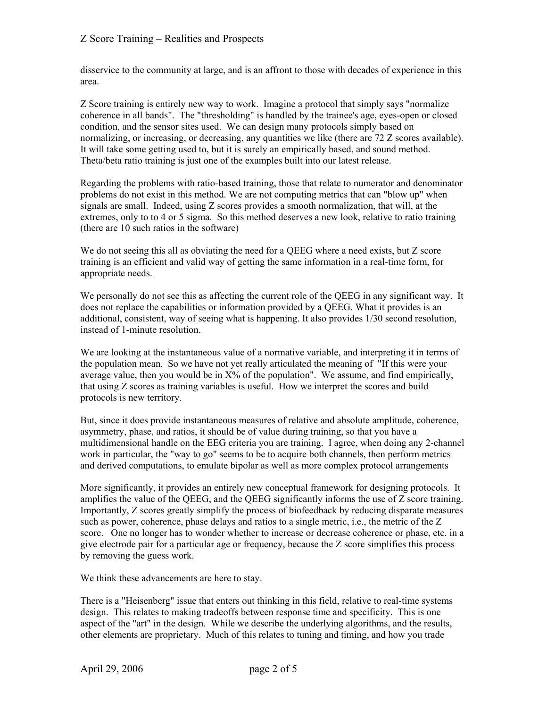disservice to the community at large, and is an affront to those with decades of experience in this area.

Z Score training is entirely new way to work. Imagine a protocol that simply says "normalize coherence in all bands". The "thresholding" is handled by the trainee's age, eyes-open or closed condition, and the sensor sites used. We can design many protocols simply based on normalizing, or increasing, or decreasing, any quantities we like (there are 72 Z scores available). It will take some getting used to, but it is surely an empirically based, and sound method. Theta/beta ratio training is just one of the examples built into our latest release.

Regarding the problems with ratio-based training, those that relate to numerator and denominator problems do not exist in this method. We are not computing metrics that can "blow up" when signals are small. Indeed, using Z scores provides a smooth normalization, that will, at the extremes, only to to 4 or 5 sigma. So this method deserves a new look, relative to ratio training (there are 10 such ratios in the software)

We do not seeing this all as obviating the need for a OEEG where a need exists, but Z score training is an efficient and valid way of getting the same information in a real-time form, for appropriate needs.

We personally do not see this as affecting the current role of the QEEG in any significant way. It does not replace the capabilities or information provided by a QEEG. What it provides is an additional, consistent, way of seeing what is happening. It also provides 1/30 second resolution, instead of 1-minute resolution.

We are looking at the instantaneous value of a normative variable, and interpreting it in terms of the population mean. So we have not yet really articulated the meaning of "If this were your average value, then you would be in  $X\%$  of the population". We assume, and find empirically, that using Z scores as training variables is useful. How we interpret the scores and build protocols is new territory.

But, since it does provide instantaneous measures of relative and absolute amplitude, coherence, asymmetry, phase, and ratios, it should be of value during training, so that you have a multidimensional handle on the EEG criteria you are training. I agree, when doing any 2-channel work in particular, the "way to go" seems to be to acquire both channels, then perform metrics and derived computations, to emulate bipolar as well as more complex protocol arrangements

More significantly, it provides an entirely new conceptual framework for designing protocols. It amplifies the value of the QEEG, and the QEEG significantly informs the use of Z score training. Importantly, Z scores greatly simplify the process of biofeedback by reducing disparate measures such as power, coherence, phase delays and ratios to a single metric, i.e., the metric of the Z score. One no longer has to wonder whether to increase or decrease coherence or phase, etc. in a give electrode pair for a particular age or frequency, because the Z score simplifies this process by removing the guess work.

We think these advancements are here to stay.

There is a "Heisenberg" issue that enters out thinking in this field, relative to real-time systems design. This relates to making tradeoffs between response time and specificity. This is one aspect of the "art" in the design. While we describe the underlying algorithms, and the results, other elements are proprietary. Much of this relates to tuning and timing, and how you trade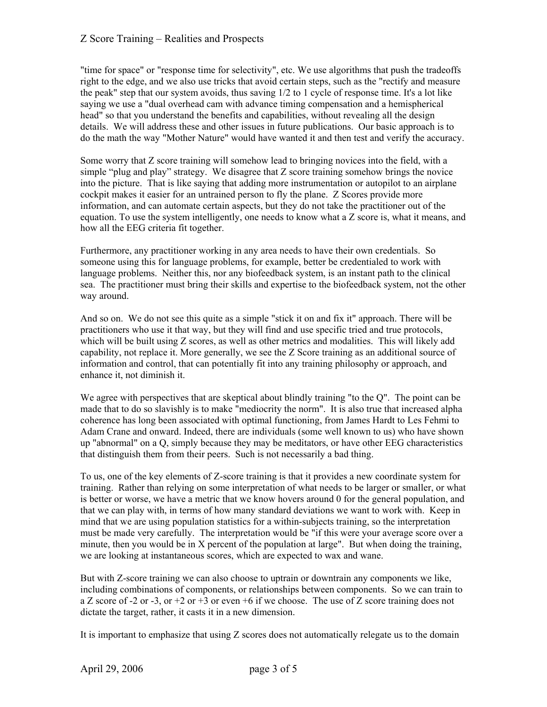"time for space" or "response time for selectivity", etc. We use algorithms that push the tradeoffs right to the edge, and we also use tricks that avoid certain steps, such as the "rectify and measure the peak" step that our system avoids, thus saving 1/2 to 1 cycle of response time. It's a lot like saying we use a "dual overhead cam with advance timing compensation and a hemispherical head" so that you understand the benefits and capabilities, without revealing all the design details. We will address these and other issues in future publications. Our basic approach is to do the math the way "Mother Nature" would have wanted it and then test and verify the accuracy.

Some worry that Z score training will somehow lead to bringing novices into the field, with a simple "plug and play" strategy. We disagree that Z score training somehow brings the novice into the picture. That is like saying that adding more instrumentation or autopilot to an airplane cockpit makes it easier for an untrained person to fly the plane. Z Scores provide more information, and can automate certain aspects, but they do not take the practitioner out of the equation. To use the system intelligently, one needs to know what a Z score is, what it means, and how all the EEG criteria fit together.

Furthermore, any practitioner working in any area needs to have their own credentials. So someone using this for language problems, for example, better be credentialed to work with language problems. Neither this, nor any biofeedback system, is an instant path to the clinical sea. The practitioner must bring their skills and expertise to the biofeedback system, not the other way around.

And so on. We do not see this quite as a simple "stick it on and fix it" approach. There will be practitioners who use it that way, but they will find and use specific tried and true protocols, which will be built using Z scores, as well as other metrics and modalities. This will likely add capability, not replace it. More generally, we see the Z Score training as an additional source of information and control, that can potentially fit into any training philosophy or approach, and enhance it, not diminish it.

We agree with perspectives that are skeptical about blindly training "to the Q". The point can be made that to do so slavishly is to make "mediocrity the norm". It is also true that increased alpha coherence has long been associated with optimal functioning, from James Hardt to Les Fehmi to Adam Crane and onward. Indeed, there are individuals (some well known to us) who have shown up "abnormal" on a Q, simply because they may be meditators, or have other EEG characteristics that distinguish them from their peers. Such is not necessarily a bad thing.

To us, one of the key elements of Z-score training is that it provides a new coordinate system for training. Rather than relying on some interpretation of what needs to be larger or smaller, or what is better or worse, we have a metric that we know hovers around 0 for the general population, and that we can play with, in terms of how many standard deviations we want to work with. Keep in mind that we are using population statistics for a within-subjects training, so the interpretation must be made very carefully. The interpretation would be "if this were your average score over a minute, then you would be in X percent of the population at large". But when doing the training, we are looking at instantaneous scores, which are expected to wax and wane.

But with Z-score training we can also choose to uptrain or downtrain any components we like, including combinations of components, or relationships between components. So we can train to a Z score of -2 or -3, or +2 or +3 or even +6 if we choose. The use of Z score training does not dictate the target, rather, it casts it in a new dimension.

It is important to emphasize that using Z scores does not automatically relegate us to the domain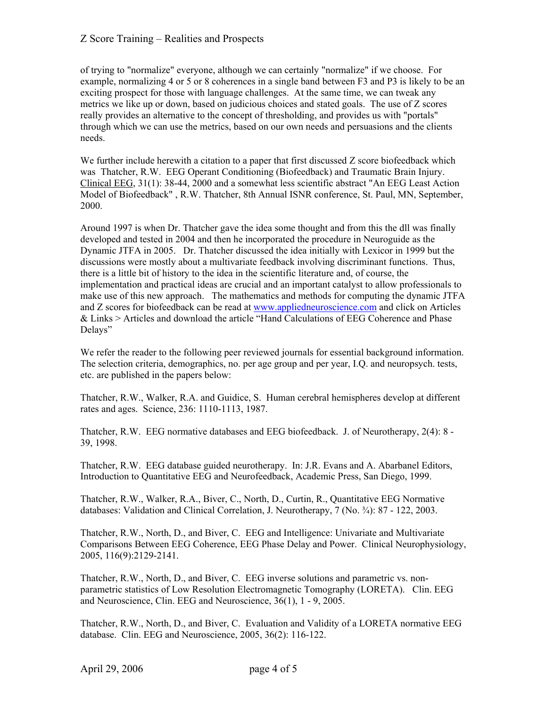of trying to "normalize" everyone, although we can certainly "normalize" if we choose. For example, normalizing 4 or 5 or 8 coherences in a single band between F3 and P3 is likely to be an exciting prospect for those with language challenges. At the same time, we can tweak any metrics we like up or down, based on judicious choices and stated goals. The use of Z scores really provides an alternative to the concept of thresholding, and provides us with "portals" through which we can use the metrics, based on our own needs and persuasions and the clients needs.

We further include herewith a citation to a paper that first discussed Z score biofeedback which was Thatcher, R.W. EEG Operant Conditioning (Biofeedback) and Traumatic Brain Injury. Clinical EEG, 31(1): 38-44, 2000 and a somewhat less scientific abstract "An EEG Least Action Model of Biofeedback" , R.W. Thatcher, 8th Annual ISNR conference, St. Paul, MN, September, 2000.

Around 1997 is when Dr. Thatcher gave the idea some thought and from this the dll was finally developed and tested in 2004 and then he incorporated the procedure in Neuroguide as the Dynamic JTFA in 2005. Dr. Thatcher discussed the idea initially with Lexicor in 1999 but the discussions were mostly about a multivariate feedback involving discriminant functions. Thus, there is a little bit of history to the idea in the scientific literature and, of course, the implementation and practical ideas are crucial and an important catalyst to allow professionals to make use of this new approach. The mathematics and methods for computing the dynamic JTFA and Z scores for biofeedback can be read at [www.appliedneuroscience.com](http://www.appliedneuroscience.com/) and click on Articles & Links > Articles and download the article "Hand Calculations of EEG Coherence and Phase Delays"

We refer the reader to the following peer reviewed journals for essential background information. The selection criteria, demographics, no. per age group and per year, I.Q. and neuropsych. tests, etc. are published in the papers below:

Thatcher, R.W., Walker, R.A. and Guidice, S. Human cerebral hemispheres develop at different rates and ages. Science, 236: 1110-1113, 1987.

Thatcher, R.W. EEG normative databases and EEG biofeedback. J. of Neurotherapy, 2(4): 8 - 39, 1998.

Thatcher, R.W. EEG database guided neurotherapy. In: J.R. Evans and A. Abarbanel Editors, Introduction to Quantitative EEG and Neurofeedback, Academic Press, San Diego, 1999.

Thatcher, R.W., Walker, R.A., Biver, C., North, D., Curtin, R., Quantitative EEG Normative databases: Validation and Clinical Correlation, J. Neurotherapy, 7 (No. ¾): 87 - 122, 2003.

Thatcher, R.W., North, D., and Biver, C. EEG and Intelligence: Univariate and Multivariate Comparisons Between EEG Coherence, EEG Phase Delay and Power. Clinical Neurophysiology, 2005, 116(9):2129-2141.

Thatcher, R.W., North, D., and Biver, C. EEG inverse solutions and parametric vs. nonparametric statistics of Low Resolution Electromagnetic Tomography (LORETA). Clin. EEG and Neuroscience, Clin. EEG and Neuroscience, 36(1), 1 - 9, 2005.

Thatcher, R.W., North, D., and Biver, C. Evaluation and Validity of a LORETA normative EEG database. Clin. EEG and Neuroscience, 2005, 36(2): 116-122.